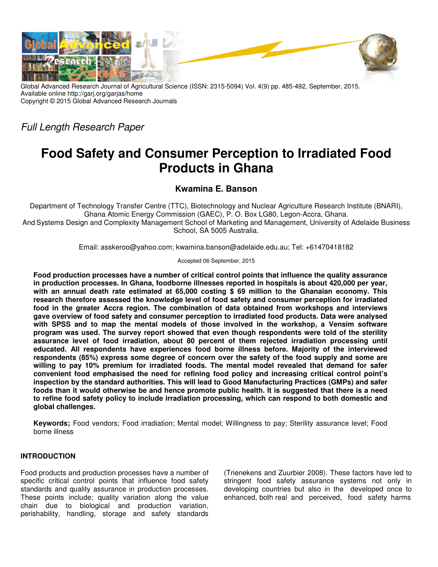

Global Advanced Research Journal of Agricultural Science (ISSN: 2315-5094) Vol. 4(9) pp. 485-492, September, 2015. Available online http://garj.org/garjas/home Copyright © 2015 Global Advanced Research Journals

Full Length Research Paper

# **Food Safety and Consumer Perception to Irradiated Food Products in Ghana**

**Kwamina E. Banson**

Department of Technology Transfer Centre (TTC), Biotechnology and Nuclear Agriculture Research Institute (BNARI), Ghana Atomic Energy Commission (GAEC), P. O. Box LG80, Legon-Accra, Ghana. And Systems Design and Complexity Management School of Marketing and Management, University of Adelaide Business School, SA 5005 Australia.

Email: asskeroo@yahoo.com; kwamina.banson@adelaide.edu.au; Tel: +61470418182

Accepted 06 September, 2015

**Food production processes have a number of critical control points that influence the quality assurance in production processes. In Ghana, foodborne illnesses reported in hospitals is about 420,000 per year, with an annual death rate estimated at 65,000 costing \$ 69 million to the Ghanaian economy. This research therefore assessed the knowledge level of food safety and consumer perception for irradiated food in the greater Accra region. The combination of data obtained from workshops and interviews gave overview of food safety and consumer perception to irradiated food products. Data were analysed with SPSS and to map the mental models of those involved in the workshop, a Vensim software program was used. The survey report showed that even though respondents were told of the sterility assurance level of food irradiation, about 80 percent of them rejected irradiation processing until educated. All respondents have experiences food borne illness before. Majority of the interviewed respondents (85%) express some degree of concern over the safety of the food supply and some are willing to pay 10% premium for irradiated foods. The mental model revealed that demand for safer convenient food emphasised the need for refining food policy and increasing critical control point's inspection by the standard authorities. This will lead to Good Manufacturing Practices (GMPs) and safer foods than it would otherwise be and hence promote public health. It is suggested that there is a need to refine food safety policy to include irradiation processing, which can respond to both domestic and global challenges.** 

**Keywords;** Food vendors; Food irradiation; Mental model; Willingness to pay; Sterility assurance level; Food borne illness

## **INTRODUCTION**

Food products and production processes have a number of specific critical control points that influence food safety standards and quality assurance in production processes. These points include; quality variation along the value chain due to biological and production variation, perishability, handling, storage and safety standards

(Trienekens and Zuurbier 2008). These factors have led to stringent food safety assurance systems not only in developing countries but also in the developed once to enhanced, both real and perceived, food safety harms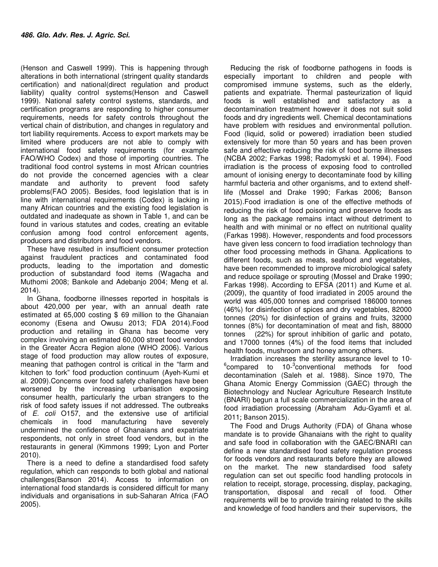(Henson and Caswell 1999). This is happening through alterations in both international (stringent quality standards certification) and national(direct regulation and product liability) quality control systems(Henson and Caswell 1999). National safety control systems, standards, and certification programs are responding to higher consumer requirements, needs for safety controls throughout the vertical chain of distribution, and changes in regulatory and tort liability requirements. Access to export markets may be limited where producers are not able to comply with international food safety requirements (for example FAO/WHO Codex) and those of importing countries. The traditional food control systems in most African countries do not provide the concerned agencies with a clear mandate and authority to prevent food safety problems(FAO 2005). Besides, food legislation that is in line with international requirements (Codex) is lacking in many African countries and the existing food legislation is outdated and inadequate as shown in Table 1, and can be found in various statutes and codes, creating an evitable confusion among food control enforcement agents, producers and distributors and food vendors.

These have resulted in insufficient consumer protection against fraudulent practices and contaminated food products, leading to the importation and domestic production of substandard food items (Wagacha and Muthomi 2008; Bankole and Adebanjo 2004; Meng et al. 2014).

In Ghana, foodborne illnesses reported in hospitals is about 420,000 per year, with an annual death rate estimated at 65,000 costing \$ 69 million to the Ghanaian economy (Esena and Owusu 2013; FDA 2014).Food production and retailing in Ghana has become very complex involving an estimated 60,000 street food vendors in the Greater Accra Region alone (WHO 2006). Various stage of food production may allow routes of exposure, meaning that pathogen control is critical in the "farm and kitchen to fork" food production continuum (Ayeh-Kumi et al. 2009).Concerns over food safety challenges have been worsened by the increasing urbanisation exposing consumer health, particularly the urban strangers to the risk of food safety issues if not addressed. The outbreaks of E. coli O157, and the extensive use of artificial chemicals in food manufacturing have severely undermined the confidence of Ghanaians and expatriate respondents, not only in street food vendors, but in the restaurants in general (Kimmons 1999; Lyon and Porter 2010).

There is a need to define a standardised food safety regulation, which can responds to both global and national challenges(Banson 2014). Access to information on international food standards is considered difficult for many individuals and organisations in sub-Saharan Africa (FAO 2005).

Reducing the risk of foodborne pathogens in foods is especially important to children and people with compromised immune systems, such as the elderly, patients and expatriate. Thermal pasteurization of liquid foods is well established and satisfactory as a decontamination treatment however it does not suit solid foods and dry ingredients well. Chemical decontaminations have problem with residues and environmental pollution. Food (liquid, solid or powered) irradiation been studied extensively for more than 50 years and has been proven safe and effective reducing the risk of food borne illnesses (NCBA 2002; Farkas 1998; Radomyski et al. 1994). Food irradiation is the process of exposing food to controlled amount of ionising energy to decontaminate food by killing harmful bacteria and other organisms, and to extend shelflife (Mossel and Drake 1990; Farkas 2006; Banson 2015).Food irradiation is one of the effective methods of reducing the risk of food poisoning and preserve foods as long as the package remains intact without detriment to health and with minimal or no effect on nutritional quality (Farkas 1998). However, respondents and food processors have given less concern to food irradiation technology than other food processing methods in Ghana. Applications to different foods, such as meats, seafood and vegetables, have been recommended to improve microbiological safety and reduce spoilage or sprouting (Mossel and Drake 1990; Farkas 1998). According to EFSA (2011) and Kume et al. (2009), the quantity of food irradiated in 2005 around the world was 405,000 tonnes and comprised 186000 tonnes (46%) for disinfection of spices and dry vegetables, 82000 tonnes (20%) for disinfection of grains and fruits, 32000 tonnes (8%) for decontamination of meat and fish, 88000 tonnes (22%) for sprout inhibition of garlic and potato, and 17000 tonnes (4%) of the food items that included health foods, mushroom and honey among others.

Irradiation increases the sterility assurance level to 10-  $6$ compared to 10- $3$ conventional methods for food decontamination (Saleh et al. 1988). Since 1970, The Ghana Atomic Energy Commission (GAEC) through the Biotechnology and Nuclear Agriculture Research Institute (BNARI) begun a full scale commercialization in the area of food irradiation processing (Abraham Adu-Gyamfi et al. 2011; Banson 2015).

The Food and Drugs Authority (FDA) of Ghana whose mandate is to provide Ghanaians with the right to quality and safe food in collaboration with the GAEC/BNARI can define a new standardised food safety regulation process for foods vendors and restaurants before they are allowed on the market. The new standardised food safety regulation can set out specific food handling protocols in relation to receipt, storage, processing, display, packaging, transportation, disposal and recall of food. Other requirements will be to provide training related to the skills and knowledge of food handlers and their supervisors, the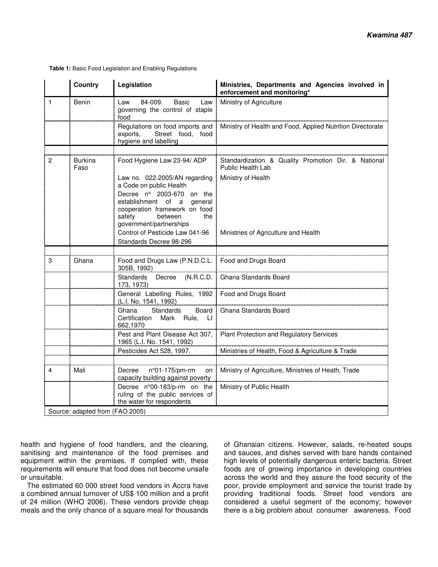|                | <b>Country</b>         | Legislation                                                                                                                                                                                                    | Ministries, Departments and Agencies involved in<br>enforcement and monitoring* |
|----------------|------------------------|----------------------------------------------------------------------------------------------------------------------------------------------------------------------------------------------------------------|---------------------------------------------------------------------------------|
| $\mathbf{1}$   | <b>Benin</b>           | 84-009.<br><b>Basic</b><br>Law<br>Law<br>governing the control of staple<br>food                                                                                                                               | Ministry of Agriculture                                                         |
|                |                        | Regulations on food imports and<br>exports,<br>Street food,<br>food<br>hygiene and labelling                                                                                                                   | Ministry of Health and Food, Applied Nutrition Directorate                      |
|                |                        |                                                                                                                                                                                                                |                                                                                 |
| $\overline{c}$ | <b>Burkina</b><br>Faso | Food Hygiene Law 23-94/ ADP                                                                                                                                                                                    | Standardization & Quality Promotion Dir. & National<br>Public Health Lab        |
|                |                        | Law no. 022-2005/AN regarding<br>a Code on public Health<br>Decree nº 2003-670 on the<br>establishment of a<br>general<br>cooperation framework on food<br>safety<br>between<br>the<br>government/partnerships | Ministry of Health                                                              |
|                |                        | Control of Pesticide Law 041-96<br>Standards Decree 98-296                                                                                                                                                     | Ministries of Agriculture and Health                                            |
|                |                        |                                                                                                                                                                                                                |                                                                                 |
| 3              | Ghana                  | Food and Drugs Law (P.N.D.C.L.   Food and Drugs Board<br>305B, 1992)                                                                                                                                           |                                                                                 |
|                |                        | Standards<br>(N.R.C.D.<br>Decree<br>173, 1973)                                                                                                                                                                 | Ghana Standards Board                                                           |
|                |                        | General Labelling Rules, 1992<br>(L.I. No. 1541, 1992)                                                                                                                                                         | Food and Drugs Board                                                            |
|                |                        | Standards<br>Ghana<br>Board<br>Certification<br>Mark<br>Rule, Ll<br>662,1970                                                                                                                                   | Ghana Standards Board                                                           |
|                |                        | Pest and Plant Disease Act 307,<br>1965 (L.I. No. 1541, 1992)                                                                                                                                                  | Plant Protection and Regulatory Services                                        |
|                |                        | Pesticides Act 528, 1997.                                                                                                                                                                                      | Ministries of Health, Food & Agriculture & Trade                                |
|                |                        |                                                                                                                                                                                                                |                                                                                 |
| 4              | Mali                   | Decree<br>n°01-175/pm-rm<br>on<br>capacity building against poverty                                                                                                                                            | Ministry of Agriculture, Ministries of Heath, Trade                             |
|                |                        | Decree n°00-183/p-rm on the                                                                                                                                                                                    | Ministry of Public Health                                                       |

 **Table 1:** Basic Food Legislation and Enabling Regulations

health and hygiene of food handlers, and the cleaning, sanitising and maintenance of the food premises and equipment within the premises. If complied with, these requirements will ensure that food does not become unsafe or unsuitable.

Source: adapted from (FAO 2005)

ruling of the public services of the water for respondents

The estimated 60 000 street food vendors in Accra have a combined annual turnover of US\$ 100 million and a profit of 24 million (WHO 2006). These vendors provide cheap meals and the only chance of a square meal for thousands

of Ghanaian citizens. However, salads, re-heated soups and sauces, and dishes served with bare hands contained high levels of potentially dangerous enteric bacteria. Street foods are of growing importance in developing countries across the world and they assure the food security of the poor, provide employment and service the tourist trade by providing traditional foods. Street food vendors are considered a useful segment of the economy; however there is a big problem about consumer awareness. Food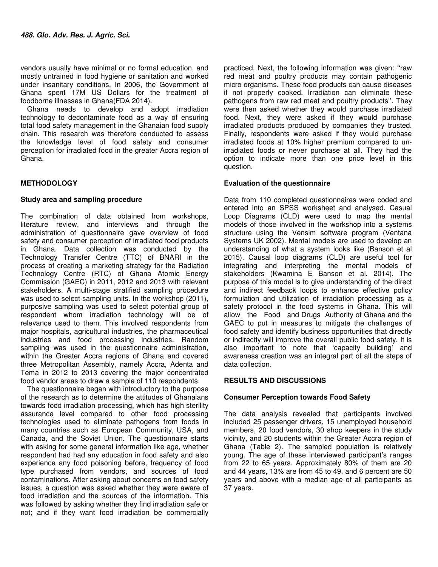vendors usually have minimal or no formal education, and mostly untrained in food hygiene or sanitation and worked under insanitary conditions. In 2006, the Government of Ghana spent 17M US Dollars for the treatment of foodborne illnesses in Ghana(FDA 2014).

Ghana needs to develop and adopt irradiation technology to decontaminate food as a way of ensuring total food safety management in the Ghanaian food supply chain. This research was therefore conducted to assess the knowledge level of food safety and consumer perception for irradiated food in the greater Accra region of Ghana.

# **METHODOLOGY**

## **Study area and sampling procedure**

The combination of data obtained from workshops, literature review, and interviews and through the administration of questionnaire gave overview of food safety and consumer perception of irradiated food products in Ghana. Data collection was conducted by the Technology Transfer Centre (TTC) of BNARI in the process of creating a marketing strategy for the Radiation Technology Centre (RTC) of Ghana Atomic Energy Commission (GAEC) in 2011, 2012 and 2013 with relevant stakeholders. A multi-stage stratified sampling procedure was used to select sampling units. In the workshop (2011), purposive sampling was used to select potential group of respondent whom irradiation technology will be of relevance used to them. This involved respondents from major hospitals, agricultural industries, the pharmaceutical industries and food processing industries. Random sampling was used in the questionnaire administration, within the Greater Accra regions of Ghana and covered three Metropolitan Assembly, namely Accra, Adenta and Tema in 2012 to 2013 covering the major concentrated food vendor areas to draw a sample of 110 respondents.

The questionnaire began with introductory to the purpose of the research as to determine the attitudes of Ghanaians towards food irradiation processing, which has high sterility assurance level compared to other food processing technologies used to eliminate pathogens from foods in many countries such as European Community, USA, and Canada, and the Soviet Union. The questionnaire starts with asking for some general information like age, whether respondent had had any education in food safety and also experience any food poisoning before, frequency of food type purchased from vendors, and sources of food contaminations. After asking about concerns on food safety issues, a question was asked whether they were aware of food irradiation and the sources of the information. This was followed by asking whether they find irradiation safe or not; and if they want food irradiation be commercially

practiced. Next, the following information was given: ''raw red meat and poultry products may contain pathogenic micro organisms. These food products can cause diseases if not properly cooked. Irradiation can eliminate these pathogens from raw red meat and poultry products''. They were then asked whether they would purchase irradiated food. Next, they were asked if they would purchase irradiated products produced by companies they trusted. Finally, respondents were asked if they would purchase irradiated foods at 10% higher premium compared to unirradiated foods or never purchase at all. They had the option to indicate more than one price level in this question.

# **Evaluation of the questionnaire**

Data from 110 completed questionnaires were coded and entered into an SPSS worksheet and analysed. Casual Loop Diagrams (CLD) were used to map the mental models of those involved in the workshop into a systems structure using the Vensim software program (Ventana Systems UK 2002). Mental models are used to develop an understanding of what a system looks like (Banson et al 2015). Causal loop diagrams (CLD) are useful tool for integrating and interpreting the mental models of stakeholders (Kwamina E Banson et al. 2014). The purpose of this model is to give understanding of the direct and indirect feedback loops to enhance effective policy formulation and utilization of irradiation processing as a safety protocol in the food systems in Ghana. This will allow the Food and Drugs Authority of Ghana and the GAEC to put in measures to mitigate the challenges of food safety and identify business opportunities that directly or indirectly will improve the overall public food safety. It is also important to note that 'capacity building' and awareness creation was an integral part of all the steps of data collection.

## **RESULTS AND DISCUSSIONS**

## **Consumer Perception towards Food Safety**

The data analysis revealed that participants involved included 25 passenger drivers, 15 unemployed household members, 20 food vendors, 30 shop keepers in the study vicinity, and 20 students within the Greater Accra region of Ghana (Table 2). The sampled population is relatively young. The age of these interviewed participant's ranges from 22 to 65 years. Approximately 80% of them are 20 and 44 years, 13% are from 45 to 49, and 6 percent are 50 years and above with a median age of all participants as 37 years.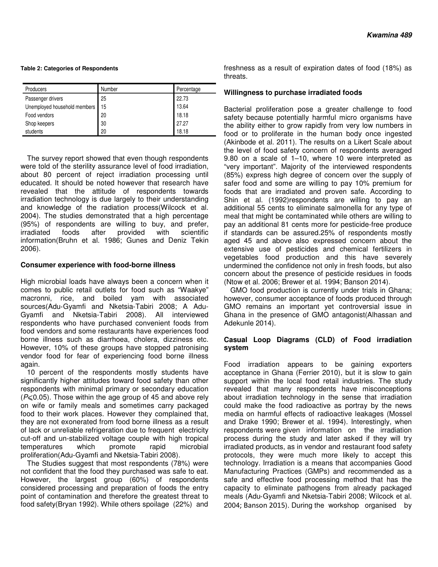#### **Table 2: Categories of Respondents**

| <b>Producers</b>             | Number | Percentage |
|------------------------------|--------|------------|
| Passenger drivers            | 25     | 22.73      |
| Unemployed household members | 15     | 13.64      |
| Food vendors                 | 20     | 18.18      |
| Shop keepers                 | 30     | 27.27      |
| students                     | 20     | 18.18      |

The survey report showed that even though respondents were told of the sterility assurance level of food irradiation, about 80 percent of reject irradiation processing until educated. It should be noted however that research have revealed that the attitude of respondents towards irradiation technology is due largely to their understanding and knowledge of the radiation process(Wilcock et al. 2004). The studies demonstrated that a high percentage (95%) of respondents are willing to buy, and prefer, irradiated foods after provided with scientific information(Bruhn et al. 1986; Gunes and Deniz Tekin 2006).

## **Consumer experience with food-borne illness**

High microbial loads have always been a concern when it comes to public retail outlets for food such as "Waakye" macronni, rice, and boiled yam with associated sources(Adu‐Gyamfi and Nketsia‐Tabiri 2008; A Adu-Gyamfi and Nketsia-Tabiri 2008). All interviewed respondents who have purchased convenient foods from food vendors and some restaurants have experiences food borne illness such as diarrhoea, cholera, dizziness etc. However, 10% of these groups have stopped patronising vendor food for fear of experiencing food borne illness again.

10 percent of the respondents mostly students have significantly higher attitudes toward food safety than other respondents with minimal primary or secondary education  $(P \le 0.05)$ . Those within the age group of 45 and above rely on wife or family meals and sometimes carry packaged food to their work places. However they complained that, they are not exonerated from food borne illness as a result of lack or unreliable refrigeration due to frequent electricity cut-off and un-stabilized voltage couple with high tropical temperatures which promote rapid microbial proliferation(Adu‐Gyamfi and Nketsia‐Tabiri 2008).

The Studies suggest that most respondents (78%) were not confident that the food they purchased was safe to eat. However, the largest group (60%) of respondents considered processing and preparation of foods the entry point of contamination and therefore the greatest threat to food safety(Bryan 1992). While others spoilage (22%) and

freshness as a result of expiration dates of food (18%) as threats.

## **Willingness to purchase irradiated foods**

Bacterial proliferation pose a greater challenge to food safety because potentially harmful micro organisms have the ability either to grow rapidly from very low numbers in food or to proliferate in the human body once ingested (Akinbode et al. 2011). The results on a Likert Scale about the level of food safety concern of respondents averaged 9.80 on a scale of 1–10, where 10 were interpreted as "very important". Majority of the interviewed respondents (85%) express high degree of concern over the supply of safer food and some are willing to pay 10% premium for foods that are irradiated and proven safe. According to Shin et al. (1992)respondents are willing to pay an additional 55 cents to eliminate salmonella for any type of meal that might be contaminated while others are willing to pay an additional 81 cents more for pesticide-free produce if standards can be assured.25% of respondents mostly aged 45 and above also expressed concern about the extensive use of pesticides and chemical fertilizers in vegetables food production and this have severely undermined the confidence not only in fresh foods, but also concern about the presence of pesticide residues in foods (Ntow et al. 2006; Brewer et al. 1994; Banson 2014).

GMO food production is currently under trials in Ghana; however, consumer acceptance of foods produced through GMO remains an important yet controversial issue in Ghana in the presence of GMO antagonist(Alhassan and Adekunle 2014).

## **Casual Loop Diagrams (CLD) of Food irradiation system**

Food irradiation appears to be gaining exporters acceptance in Ghana (Ferrier 2010), but it is slow to gain support within the local food retail industries. The study revealed that many respondents have misconceptions about irradiation technology in the sense that irradiation could make the food radioactive as portray by the news media on harmful effects of radioactive leakages (Mossel and Drake 1990; Brewer et al. 1994). Interestingly, when respondents were given information on the irradiation process during the study and later asked if they will try irradiated products, as in vendor and restaurant food safety protocols, they were much more likely to accept this technology. Irradiation is a means that accompanies Good Manufacturing Practices (GMPs) and recommended as a safe and effective food processing method that has the capacity to eliminate pathogens from already packaged meals (Adu‐Gyamfi and Nketsia‐Tabiri 2008; Wilcock et al. 2004; Banson 2015). During the workshop organised by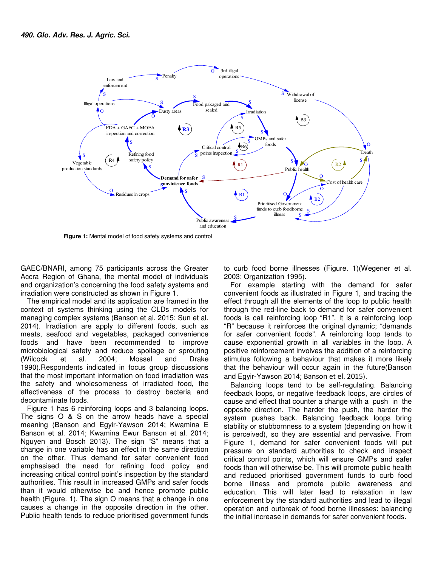

 **Figure 1:** Mental model of food safety systems and control

GAEC/BNARI, among 75 participants across the Greater Accra Region of Ghana, the mental model of individuals and organization's concerning the food safety systems and irradiation were constructed as shown in Figure 1.

The empirical model and its application are framed in the context of systems thinking using the CLDs models for managing complex systems (Banson et al. 2015; Sun et al. 2014). Irradiation are apply to different foods, such as meats, seafood and vegetables, packaged convenience foods and have been recommended to improve microbiological safety and reduce spoilage or sprouting (Wilcock et al. 2004; Mossel and Drake 1990).Respondents indicated in focus group discussions that the most important information on food irradiation was the safety and wholesomeness of irradiated food, the effectiveness of the process to destroy bacteria and decontaminate foods.

Figure 1 has 6 reinforcing loops and 3 balancing loops. The signs O & S on the arrow heads have a special meaning (Banson and Egyir-Yawson 2014; Kwamina E Banson et al. 2014; Kwamina Ewur Banson et al. 2014; Nguyen and Bosch 2013). The sign "S" means that a change in one variable has an effect in the same direction on the other. Thus demand for safer convenient food emphasised the need for refining food policy and increasing critical control point's inspection by the standard authorities. This result in increased GMPs and safer foods than it would otherwise be and hence promote public health (Figure. 1). The sign O means that a change in one causes a change in the opposite direction in the other. Public health tends to reduce prioritised government funds

to curb food borne illnesses (Figure. 1)(Wegener et al. 2003; Organization 1995).

For example starting with the demand for safer convenient foods as illustrated in Figure 1, and tracing the effect through all the elements of the loop to public health through the red-line back to demand for safer convenient foods is call reinforcing loop "R1". It is a reinforcing loop "R" because it reinforces the original dynamic; "demands for safer convenient foods". A reinforcing loop tends to cause exponential growth in all variables in the loop. A positive reinforcement involves the addition of a reinforcing stimulus following a behaviour that makes it more likely that the behaviour will occur again in the future(Banson and Egyir-Yawson 2014; Banson et el. 2015).

Balancing loops tend to be self-regulating. Balancing feedback loops, or negative feedback loops, are circles of cause and effect that counter a change with a push in the opposite direction. The harder the push, the harder the system pushes back. Balancing feedback loops bring stability or stubbornness to a system (depending on how it is perceived), so they are essential and pervasive. From Figure 1, demand for safer convenient foods will put pressure on standard authorities to check and inspect critical control points, which will ensure GMPs and safer foods than will otherwise be. This will promote public health and reduced prioritised government funds to curb food borne illness and promote public awareness and education. This will later lead to relaxation in law enforcement by the standard authorities and lead to illegal operation and outbreak of food borne illnesses: balancing the initial increase in demands for safer convenient foods.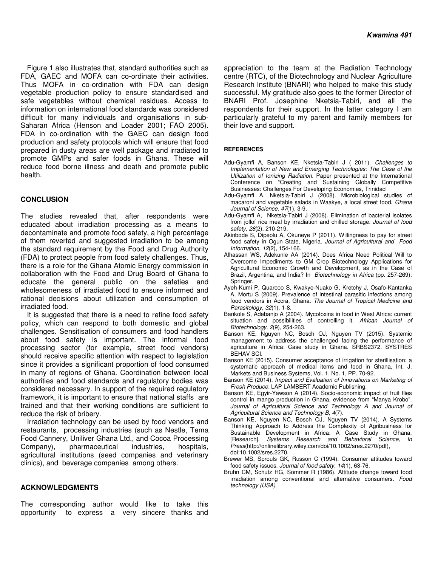Figure 1 also illustrates that, standard authorities such as FDA, GAEC and MOFA can co-ordinate their activities. Thus MOFA in co-ordination with FDA can design vegetable production policy to ensure standardised and safe vegetables without chemical residues. Access to information on international food standards was considered difficult for many individuals and organisations in sub-Saharan Africa (Henson and Loader 2001; FAO 2005). FDA in co-ordination with the GAEC can design food production and safety protocols which will ensure that food prepared in dusty areas are well package and irradiated to promote GMPs and safer foods in Ghana. These will reduce food borne illness and death and promote public health.

## **CONCLUSION**

The studies revealed that, after respondents were educated about irradiation processing as a means to decontaminate and promote food safety, a high percentage of them reverted and suggested irradiation to be among the standard requirement by the Food and Drug Authority (FDA) to protect people from food safety challenges. Thus, there is a role for the Ghana Atomic Energy commission in collaboration with the Food and Drug Board of Ghana to educate the general public on the safeties and wholesomeness of irradiated food to ensure informed and rational decisions about utilization and consumption of irradiated food.

It is suggested that there is a need to refine food safety policy, which can respond to both domestic and global challenges. Sensitisation of consumers and food handlers about food safety is important. The informal food processing sector (for example, street food vendors) should receive specific attention with respect to legislation since it provides a significant proportion of food consumed in many of regions of Ghana. Coordination between local authorities and food standards and regulatory bodies was considered necessary. In support of the required regulatory framework, it is important to ensure that national staffs are trained and that their working conditions are sufficient to reduce the risk of bribery.

Irradiation technology can be used by food vendors and restaurants, processing industries (such as Nestle, Tema Food Cannery, Uniliver Ghana Ltd., and Cocoa Processing Company), pharmaceutical industries, hospitals, agricultural institutions (seed companies and veterinary clinics), and beverage companies among others.

## **ACKNOWLEDGMENTS**

The corresponding author would like to take this opportunity to express a very sincere thanks and appreciation to the team at the Radiation Technology centre (RTC), of the Biotechnology and Nuclear Agriculture Research Institute (BNARI) who helped to make this study successful. My gratitude also goes to the former Director of BNARI Prof. Josephine Nketsia-Tabiri, and all the respondents for their support. In the latter category I am particularly grateful to my parent and family members for their love and support.

#### **REFERENCES**

- Adu-Gyamfi A, Banson KE, Nketsia-Tabiri J ( 2011). Challenges to Implementation of New and Emerging Technologies: The Case of the Utilization of Ionizing Radiation. Paper presented at the International Conference on "Creating and Sustaining Globally Competitive Businesses: Challenges For Developing Economies, Trinidad
- Adu-Gyamfi A, Nketsia-Tabiri J (2008). Microbiological studies of macaroni and vegetable salads in Waakye, a local street food. Ghana Journal of Science, 47(1), 3-9.
- Adu-Gyamfi A, Nketsia-Tabiri J (2008). Elimination of bacterial isolates from jollof rice meal by irradiation and chilled storage. Journal of food safety, 28(2), 210-219.
- Akinbode S, Dipeolu A, Okuneye P (2011). Willingness to pay for street food safety in Ogun State, Nigeria. Journal of Agricultural and Food Information, 12(2), 154-166.
- Alhassan WS, Adekunle AA (2014). Does Africa Need Political Will to Overcome Impediments to GM Crop Biotechnology Applications for Agricultural Economic Growth and Development, as in the Case of Brazil, Argentina, and India? In Biotechnology in Africa (pp. 257-269): Springer.
- Ayeh-Kumi P, Quarcoo S, Kwakye-Nuako G, Kretchy J, Osafo-Kantanka A, Mortu S (2009). Prevalence of intestinal parasitic infections among food vendors in Accra, Ghana. The Journal of Tropical Medicine and Parasitology, 32(1), 1-8.
- Bankole S, Adebanjo A (2004). Mycotoxins in food in West Africa: current situation and possibilities of controlling it. African Journal of Biotechnology, 2(9), 254-263.
- Banson KE, Nguyen NC, Bosch OJ, Nguyen TV (2015). Systemic management to address the challenged facing the performance of agriculture in Africa: Case study in Ghana. SRBS2372. SYSTRES BEHAV SCI.
- Banson KE (2015). Consumer acceptance of irrigation for sterillisation: a systematic approach of medical items and food in Ghana, Int. J. Markets and Business Systems, Vol. 1, No. 1, PP. 70-92.
- Banson KE (2014). Impact and Evaluation of Innovations on Marketing of Fresh Produce: LAP LAMBERT Academic Publishing.
- Banson KE, Egyir-Yawson A (2014). Socio-economic impact of fruit flies control in mango production in Ghana, evidence from "Manya Krobo". Journal of Agricultural Science and Technology A and Journal of Agricultural Science and Technology B, 4(7).
- Banson KE, Nguyen NC, Bosch OJ, Nguyen TV (2014). A Systems Thinking Approach to Address the Complexity of Agribusiness for Sustainable Development in Africa: A Case Study in Ghana. [Research]. Systems Research and Behavioral Science, In Press(http://onlinelibrary.wiley.com/doi/10.1002/sres.2270/pdf), doi:10.1002/sres.2270.
- Brewer MS, Sprouls GK, Russon C (1994). Consumer attitudes toward food safety issues. Journal of food safety, 14(1), 63-76.
- Bruhn CM, Schutz HG, Sommer R (1986). Attitude change toward food irradiation among conventional and alternative consumers. Food technology (USA).